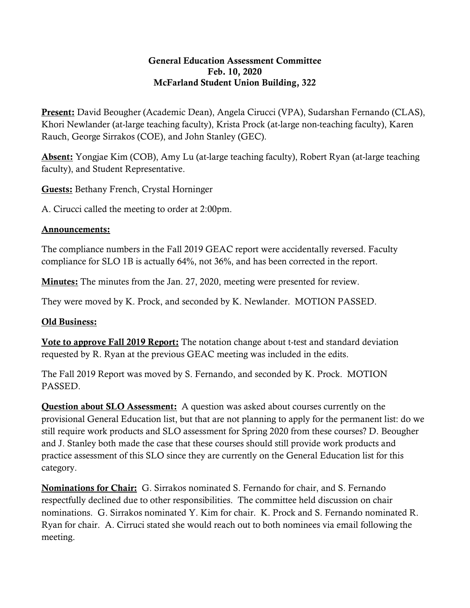## General Education Assessment Committee Feb. 10, 2020 McFarland Student Union Building, 322

Present: David Beougher (Academic Dean), Angela Cirucci (VPA), Sudarshan Fernando (CLAS), Khori Newlander (at-large teaching faculty), Krista Prock (at-large non-teaching faculty), Karen Rauch, George Sirrakos (COE), and John Stanley (GEC).

Absent: Yongjae Kim (COB), Amy Lu (at-large teaching faculty), Robert Ryan (at-large teaching faculty), and Student Representative.

Guests: Bethany French, Crystal Horninger

A. Cirucci called the meeting to order at 2:00pm.

## Announcements:

The compliance numbers in the Fall 2019 GEAC report were accidentally reversed. Faculty compliance for SLO 1B is actually 64%, not 36%, and has been corrected in the report.

**Minutes:** The minutes from the Jan. 27, 2020, meeting were presented for review.

They were moved by K. Prock, and seconded by K. Newlander. MOTION PASSED.

## Old Business:

Vote to approve Fall 2019 Report: The notation change about t-test and standard deviation requested by R. Ryan at the previous GEAC meeting was included in the edits.

The Fall 2019 Report was moved by S. Fernando, and seconded by K. Prock. MOTION PASSED.

Question about SLO Assessment: A question was asked about courses currently on the provisional General Education list, but that are not planning to apply for the permanent list: do we still require work products and SLO assessment for Spring 2020 from these courses? D. Beougher and J. Stanley both made the case that these courses should still provide work products and practice assessment of this SLO since they are currently on the General Education list for this category.

Nominations for Chair: G. Sirrakos nominated S. Fernando for chair, and S. Fernando respectfully declined due to other responsibilities. The committee held discussion on chair nominations. G. Sirrakos nominated Y. Kim for chair. K. Prock and S. Fernando nominated R. Ryan for chair. A. Cirruci stated she would reach out to both nominees via email following the meeting.